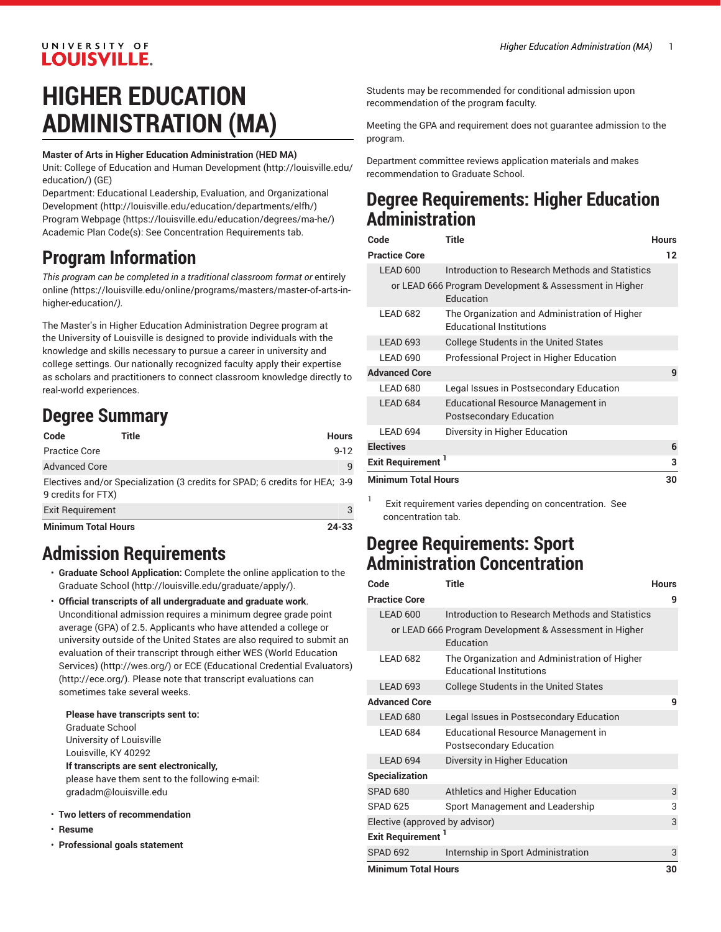#### UNIVERSITY OF **LOUISVILLE.**

# **HIGHER EDUCATION ADMINISTRATION (MA)**

#### **Master of Arts in Higher Education Administration (HED MA)**

Unit: College of Education and Human [Development \(http://louisville.edu/](http://louisville.edu/education/) [education/](http://louisville.edu/education/)) (GE)

Department: Educational Leadership, Evaluation, and [Organizational](http://louisville.edu/education/departments/elfh/) [Development](http://louisville.edu/education/departments/elfh/) ([http://louisville.edu/education/departments/elfh/\)](http://louisville.edu/education/departments/elfh/) Program [Webpage](https://louisville.edu/education/degrees/ma-he/) [\(https://louisville.edu/education/degrees/ma-he/](https://louisville.edu/education/degrees/ma-he/)) Academic Plan Code(s): See Concentration Requirements tab.

# **Program Information**

*This program can be completed in a traditional classroom format or* [entirely](https://louisville.edu/online/programs/masters/master-of-arts-in-higher-education/) [online](https://louisville.edu/online/programs/masters/master-of-arts-in-higher-education/) *(*[https://louisville.edu/online/programs/masters/master-of-arts-in](https://louisville.edu/online/programs/masters/master-of-arts-in-higher-education/)[higher-education/](https://louisville.edu/online/programs/masters/master-of-arts-in-higher-education/)*).*

The Master's in Higher Education Administration Degree program at the University of Louisville is designed to provide individuals with the knowledge and skills necessary to pursue a career in university and college settings. Our nationally recognized faculty apply their expertise as scholars and practitioners to connect classroom knowledge directly to real-world experiences.

## **Degree Summary**

| Code                       | Title | <b>Hours</b>                                                                |
|----------------------------|-------|-----------------------------------------------------------------------------|
| Practice Core              |       | $9 - 12$                                                                    |
| <b>Advanced Core</b>       |       | q                                                                           |
| 9 credits for FTX)         |       | Electives and/or Specialization (3 credits for SPAD; 6 credits for HEA; 3-9 |
| <b>Exit Requirement</b>    |       | 3                                                                           |
| <b>Minimum Total Hours</b> |       | 24-33                                                                       |

## **Admission Requirements**

- **Graduate School Application:** Complete the [online application to the](http://louisville.edu/graduate/apply/) [Graduate School](http://louisville.edu/graduate/apply/) (<http://louisville.edu/graduate/apply/>).
- **Official transcripts of all undergraduate and graduate work**. Unconditional admission requires a minimum degree grade point average (GPA) of 2.5. Applicants who have attended a college or university outside of the United States are also required to submit an evaluation of their transcript through either WES (World [Education](http://wes.org/) [Services\)](http://wes.org/) ([http://wes.org/\)](http://wes.org/) or ECE [\(Educational](http://ece.org/) Credential Evaluators) ([http://ece.org/\)](http://ece.org/). Please note that transcript evaluations can sometimes take several weeks.

**Please have transcripts sent to:** Graduate School University of Louisville

Louisville, KY 40292

**If transcripts are sent electronically,** please have them sent to the following e-mail:

[gradadm@louisville.edu](mailto:gradadm@louisville.edu)

- **Two letters of recommendation**
- **Resume**
- **Professional goals statement**

Students may be recommended for conditional admission upon recommendation of the program faculty.

Meeting the GPA and requirement does not guarantee admission to the program.

Department committee reviews application materials and makes recommendation to Graduate School.

### **Degree Requirements: Higher Education Administration**

| Code                                                                | Title                                                                            | <b>Hours</b> |
|---------------------------------------------------------------------|----------------------------------------------------------------------------------|--------------|
| <b>Practice Core</b>                                                |                                                                                  | 12           |
| LEAD 600                                                            | Introduction to Research Methods and Statistics                                  |              |
| or LEAD 666 Program Development & Assessment in Higher<br>Education |                                                                                  |              |
| LEAD 682                                                            | The Organization and Administration of Higher<br><b>Educational Institutions</b> |              |
| <b>LEAD 693</b>                                                     | <b>College Students in the United States</b>                                     |              |
| <b>LEAD 690</b>                                                     | Professional Project in Higher Education                                         |              |
| <b>Advanced Core</b>                                                |                                                                                  | 9            |
| LEAD 680                                                            | Legal Issues in Postsecondary Education                                          |              |
| LEAD 684                                                            | Educational Resource Management in<br><b>Postsecondary Education</b>             |              |
| LEAD 694                                                            | Diversity in Higher Education                                                    |              |
| <b>Electives</b>                                                    |                                                                                  | 6            |
| <b>Exit Requirement</b>                                             |                                                                                  |              |
| <b>Minimum Total Hours</b>                                          |                                                                                  | 30           |

Exit requirement varies depending on concentration. See concentration tab.

### **Degree Requirements: Sport Administration Concentration**

1

| Code                           | <b>Title</b>                                                                     | <b>Hours</b> |
|--------------------------------|----------------------------------------------------------------------------------|--------------|
| <b>Practice Core</b>           |                                                                                  | 9            |
| LEAD 600                       | Introduction to Research Methods and Statistics                                  |              |
|                                | or LEAD 666 Program Development & Assessment in Higher<br>Education              |              |
| LEAD 682                       | The Organization and Administration of Higher<br><b>Educational Institutions</b> |              |
| <b>LEAD 693</b>                | College Students in the United States                                            |              |
| <b>Advanced Core</b>           |                                                                                  | g            |
| LEAD 680                       | Legal Issues in Postsecondary Education                                          |              |
| LEAD 684                       | Educational Resource Management in<br><b>Postsecondary Education</b>             |              |
| LEAD 694                       | Diversity in Higher Education                                                    |              |
| <b>Specialization</b>          |                                                                                  |              |
| <b>SPAD 680</b>                | Athletics and Higher Education                                                   | 3            |
| SPAD <sub>625</sub>            | Sport Management and Leadership                                                  | 3            |
| Elective (approved by advisor) |                                                                                  | 3            |
| <b>Exit Requirement</b>        |                                                                                  |              |
| <b>SPAD 692</b>                | Internship in Sport Administration                                               | 3            |
| <b>Minimum Total Hours</b>     |                                                                                  | 30           |